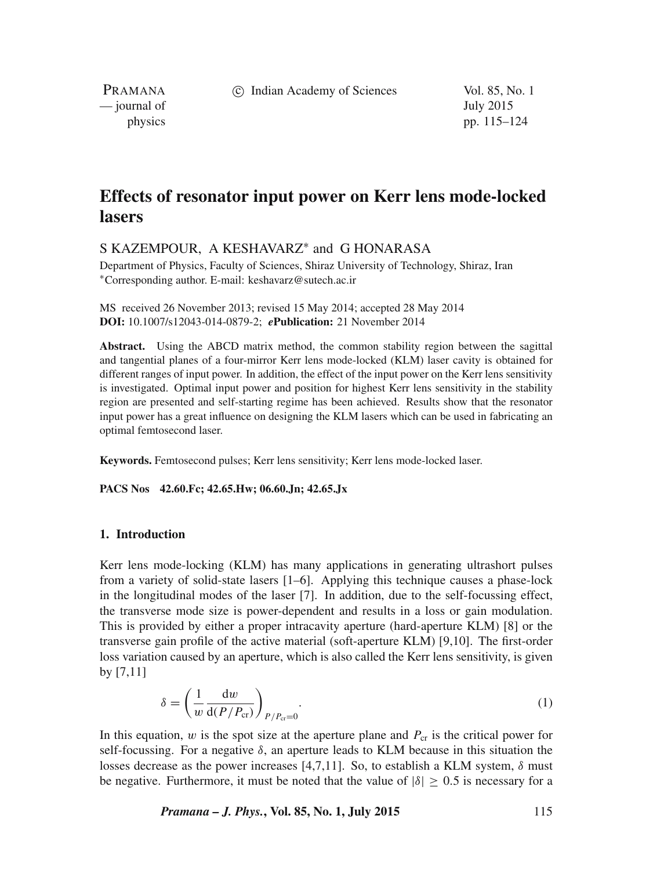c Indian Academy of Sciences Vol. 85, No. 1

PRAMANA — journal of July 2015

physics pp. 115–124

# **Effects of resonator input power on Kerr lens mode-locked lasers**

S KAZEMPOUR, A KESHAVARZ<sup>∗</sup> and G HONARASA

Department of Physics, Faculty of Sciences, Shiraz University of Technology, Shiraz, Iran <sup>∗</sup>Corresponding author. E-mail: keshavarz@sutech.ac.ir

MS received 26 November 2013; revised 15 May 2014; accepted 28 May 2014 **DOI:** 10.1007/s12043-014-0879-2; *e***Publication:** 21 November 2014

**Abstract.** Using the ABCD matrix method, the common stability region between the sagittal and tangential planes of a four-mirror Kerr lens mode-locked (KLM) laser cavity is obtained for different ranges of input power. In addition, the effect of the input power on the Kerr lens sensitivity is investigated. Optimal input power and position for highest Kerr lens sensitivity in the stability region are presented and self-starting regime has been achieved. Results show that the resonator input power has a great influence on designing the KLM lasers which can be used in fabricating an optimal femtosecond laser.

**Keywords.** Femtosecond pulses; Kerr lens sensitivity; Kerr lens mode-locked laser.

### **PACS Nos 42.60.Fc; 42.65.Hw; 06.60.Jn; 42.65.Jx**

# **1. Introduction**

Kerr lens mode-locking (KLM) has many applications in generating ultrashort pulses from a variety of solid-state lasers [1–6]. Applying this technique causes a phase-lock in the longitudinal modes of the laser [7]. In addition, due to the self-focussing effect, the transverse mode size is power-dependent and results in a loss or gain modulation. This is provided by either a proper intracavity aperture (hard-aperture KLM) [8] or the transverse gain profile of the active material (soft-aperture KLM) [9,10]. The first-order loss variation caused by an aperture, which is also called the Kerr lens sensitivity, is given by [7,11]

$$
\delta = \left(\frac{1}{w} \frac{dw}{d(P/P_{cr})}\right)_{P/P_{cr}=0}.
$$
\n(1)

In this equation,  $w$  is the spot size at the aperture plane and  $P_{cr}$  is the critical power for self-focussing. For a negative  $\delta$ , an aperture leads to KLM because in this situation the losses decrease as the power increases [4,7,11]. So, to establish a KLM system,  $\delta$  must be negative. Furthermore, it must be noted that the value of  $|\delta| > 0.5$  is necessary for a

*Pramana – J. Phys.***, Vol. 85, No. 1, July 2015** 115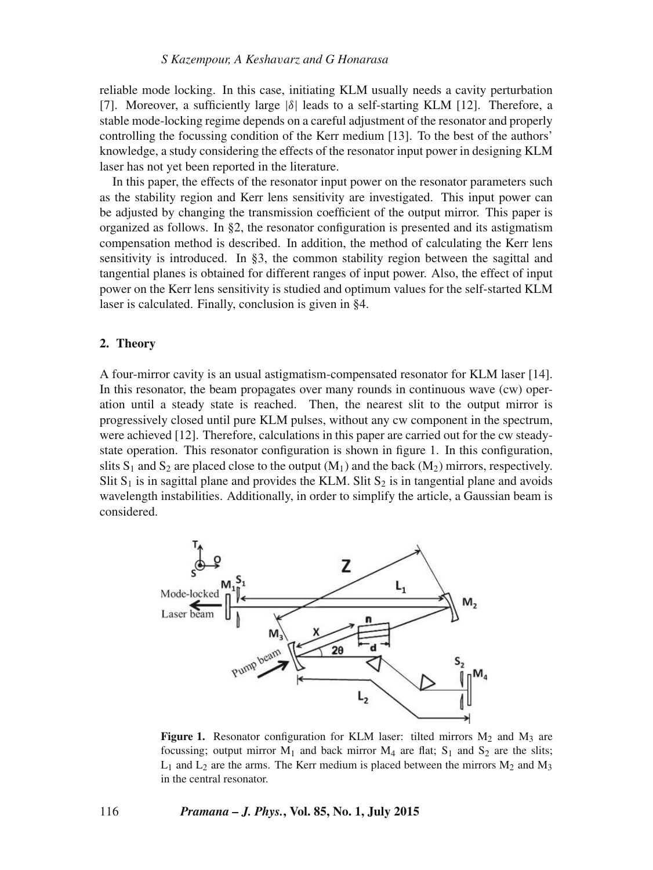# *S Kazempour, A Kesha*v*arz and G Honarasa*

reliable mode locking. In this case, initiating KLM usually needs a cavity perturbation [7]. Moreover, a sufficiently large  $|\delta|$  leads to a self-starting KLM [12]. Therefore, a stable mode-locking regime depends on a careful adjustment of the resonator and properly controlling the focussing condition of the Kerr medium [13]. To the best of the authors' knowledge, a study considering the effects of the resonator input power in designing KLM laser has not yet been reported in the literature.

In this paper, the effects of the resonator input power on the resonator parameters such as the stability region and Kerr lens sensitivity are investigated. This input power can be adjusted by changing the transmission coefficient of the output mirror. This paper is organized as follows. In §2, the resonator configuration is presented and its astigmatism compensation method is described. In addition, the method of calculating the Kerr lens sensitivity is introduced. In §3, the common stability region between the sagittal and tangential planes is obtained for different ranges of input power. Also, the effect of input power on the Kerr lens sensitivity is studied and optimum values for the self-started KLM laser is calculated. Finally, conclusion is given in §4.

### **2. Theory**

A four-mirror cavity is an usual astigmatism-compensated resonator for KLM laser [14]. In this resonator, the beam propagates over many rounds in continuous wave (cw) operation until a steady state is reached. Then, the nearest slit to the output mirror is progressively closed until pure KLM pulses, without any cw component in the spectrum, were achieved [12]. Therefore, calculations in this paper are carried out for the cw steadystate operation. This resonator configuration is shown in figure 1. In this configuration, slits  $S_1$  and  $S_2$  are placed close to the output  $(M_1)$  and the back  $(M_2)$  mirrors, respectively. Slit  $S_1$  is in sagittal plane and provides the KLM. Slit  $S_2$  is in tangential plane and avoids wavelength instabilities. Additionally, in order to simplify the article, a Gaussian beam is considered.



**Figure 1.** Resonator configuration for KLM laser: tilted mirrors  $M_2$  and  $M_3$  are focussing; output mirror  $M_1$  and back mirror  $M_4$  are flat;  $S_1$  and  $S_2$  are the slits;  $L_1$  and  $L_2$  are the arms. The Kerr medium is placed between the mirrors  $M_2$  and  $M_3$ in the central resonator.

#### 116 *Pramana – J. Phys.***, Vol. 85, No. 1, July 2015**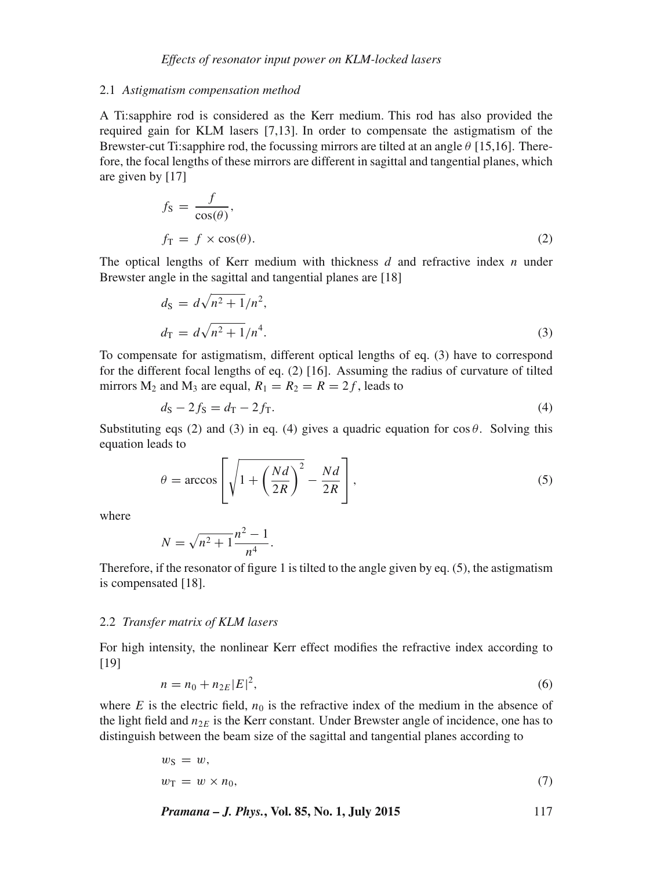### 2.1 *Astigmatism compensation method*

A Ti:sapphire rod is considered as the Kerr medium. This rod has also provided the required gain for KLM lasers [7,13]. In order to compensate the astigmatism of the Brewster-cut Ti:sapphire rod, the focussing mirrors are tilted at an angle  $\theta$  [15,16]. Therefore, the focal lengths of these mirrors are different in sagittal and tangential planes, which are given by [17]

$$
f_{\rm S} = \frac{f}{\cos(\theta)},
$$
  

$$
f_{\rm T} = f \times \cos(\theta).
$$
 (2)

The optical lengths of Kerr medium with thickness  $d$  and refractive index  $n$  under Brewster angle in the sagittal and tangential planes are [18]

$$
d_{\rm S} = d\sqrt{n^2 + 1}/n^2,
$$
  
\n
$$
d_{\rm T} = d\sqrt{n^2 + 1}/n^4.
$$
\n(3)

To compensate for astigmatism, different optical lengths of eq. (3) have to correspond for the different focal lengths of eq. (2) [16]. Assuming the radius of curvature of tilted mirrors  $M_2$  and  $M_3$  are equal,  $R_1 = R_2 = R = 2f$ , leads to

$$
d_{\rm S} - 2f_{\rm S} = d_{\rm T} - 2f_{\rm T}.\tag{4}
$$

Substituting eqs (2) and (3) in eq. (4) gives a quadric equation for  $\cos \theta$ . Solving this equation leads to

$$
\theta = \arccos\left[\sqrt{1 + \left(\frac{Nd}{2R}\right)^2} - \frac{Nd}{2R}\right],\tag{5}
$$

where

$$
N = \sqrt{n^2 + 1} \frac{n^2 - 1}{n^4}.
$$

Therefore, if the resonator of figure 1 is tilted to the angle given by eq. (5), the astigmatism is compensated [18].

### 2.2 *Transfer matrix of KLM lasers*

For high intensity, the nonlinear Kerr effect modifies the refractive index according to [19]

$$
n = n_0 + n_{2E} |E|^2,
$$
\n(6)

where E is the electric field,  $n_0$  is the refractive index of the medium in the absence of the light field and  $n_{2E}$  is the Kerr constant. Under Brewster angle of incidence, one has to distinguish between the beam size of the sagittal and tangential planes according to

$$
w_{\rm S} = w,
$$
  

$$
w_{\rm T} = w \times n_0,
$$
 (7)

$$
Pramana - J. Phys., Vol. 85, No. 1, July 2015
$$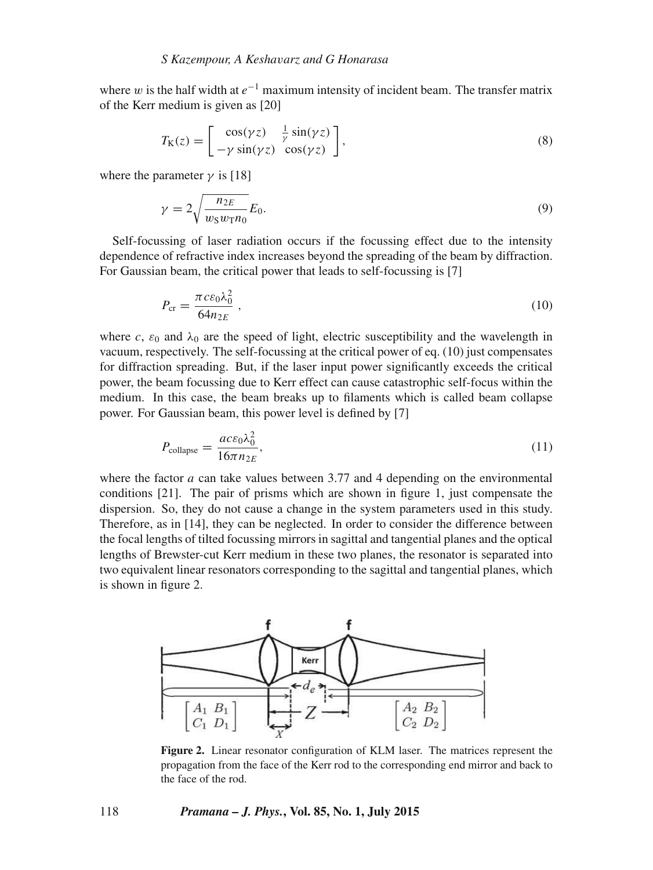where w is the half width at  $e^{-1}$  maximum intensity of incident beam. The transfer matrix of the Kerr medium is given as [20]

$$
T_{\mathcal{K}}(z) = \begin{bmatrix} \cos(\gamma z) & \frac{1}{\gamma} \sin(\gamma z) \\ -\gamma \sin(\gamma z) & \cos(\gamma z) \end{bmatrix},
$$
\n(8)

where the parameter  $\gamma$  is [18]

$$
\gamma = 2\sqrt{\frac{n_{2E}}{w_{\rm S}w_{\rm T}n_0}}E_0.
$$
\n(9)

Self-focussing of laser radiation occurs if the focussing effect due to the intensity dependence of refractive index increases beyond the spreading of the beam by diffraction. For Gaussian beam, the critical power that leads to self-focussing is [7]

$$
P_{\rm cr} = \frac{\pi c \varepsilon_0 \lambda_0^2}{64 n_{2E}} \,, \tag{10}
$$

where c,  $\varepsilon_0$  and  $\lambda_0$  are the speed of light, electric susceptibility and the wavelength in vacuum, respectively. The self-focussing at the critical power of eq. (10) just compensates for diffraction spreading. But, if the laser input power significantly exceeds the critical power, the beam focussing due to Kerr effect can cause catastrophic self-focus within the medium. In this case, the beam breaks up to filaments which is called beam collapse power. For Gaussian beam, this power level is defined by [7]

$$
P_{\text{collapse}} = \frac{ac\epsilon_0\lambda_0^2}{16\pi n_{2E}},\tag{11}
$$

where the factor  $a$  can take values between 3.77 and 4 depending on the environmental conditions [21]. The pair of prisms which are shown in figure 1, just compensate the dispersion. So, they do not cause a change in the system parameters used in this study. Therefore, as in [14], they can be neglected. In order to consider the difference between the focal lengths of tilted focussing mirrors in sagittal and tangential planes and the optical lengths of Brewster-cut Kerr medium in these two planes, the resonator is separated into two equivalent linear resonators corresponding to the sagittal and tangential planes, which is shown in figure 2.



**Figure 2.** Linear resonator configuration of KLM laser. The matrices represent the propagation from the face of the Kerr rod to the corresponding end mirror and back to the face of the rod.

# 118 *Pramana – J. Phys.***, Vol. 85, No. 1, July 2015**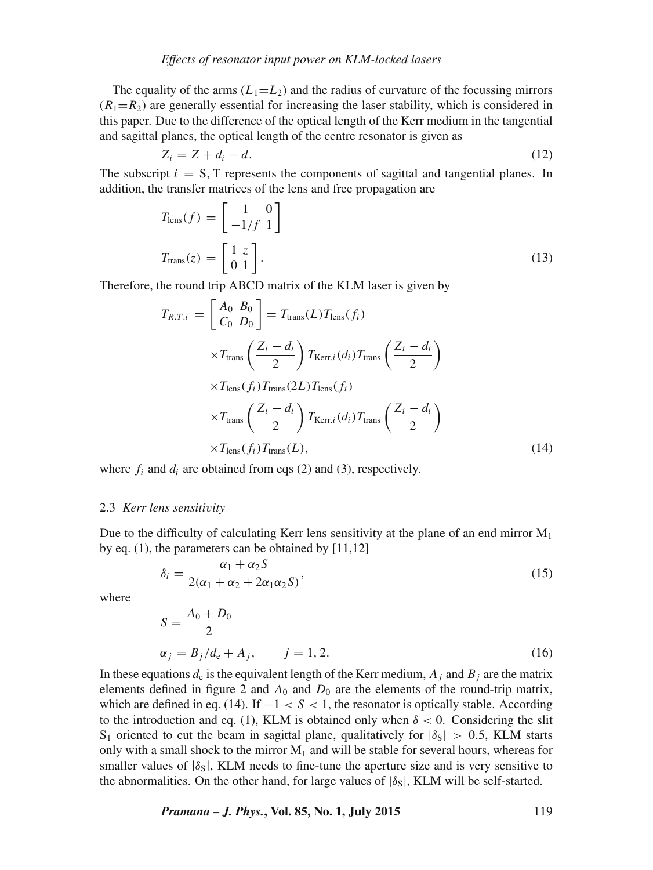# *Effects of resonator input power on KLM-locked lasers*

The equality of the arms  $(L_1=L_2)$  and the radius of curvature of the focussing mirrors  $(R_1=R_2)$  are generally essential for increasing the laser stability, which is considered in this paper. Due to the difference of the optical length of the Kerr medium in the tangential and sagittal planes, the optical length of the centre resonator is given as

$$
Z_i = Z + d_i - d. \tag{12}
$$

The subscript  $i = S$ , T represents the components of sagittal and tangential planes. In addition, the transfer matrices of the lens and free propagation are

$$
T_{\text{lens}}(f) = \begin{bmatrix} 1 & 0 \\ -1/f & 1 \end{bmatrix}
$$

$$
T_{\text{trans}}(z) = \begin{bmatrix} 1 & z \\ 0 & 1 \end{bmatrix}.
$$
(13)

Therefore, the round trip ABCD matrix of the KLM laser is given by

$$
T_{R.T.i} = \begin{bmatrix} A_0 & B_0 \\ C_0 & D_0 \end{bmatrix} = T_{trans}(L) T_{lens}(f_i)
$$
\n
$$
\times T_{trans} \left( \frac{Z_i - d_i}{2} \right) T_{Kerr.i}(d_i) T_{trans} \left( \frac{Z_i - d_i}{2} \right)
$$
\n
$$
\times T_{lens}(f_i) T_{trans}(2L) T_{lens}(f_i)
$$
\n
$$
\times T_{trans} \left( \frac{Z_i - d_i}{2} \right) T_{Kerr.i}(d_i) T_{trans} \left( \frac{Z_i - d_i}{2} \right)
$$
\n
$$
\times T_{lens}(f_i) T_{trans}(L), \tag{14}
$$

where  $f_i$  and  $d_i$  are obtained from eqs (2) and (3), respectively.

#### 2.3 *Kerr lens sensiti*v*ity*

Due to the difficulty of calculating Kerr lens sensitivity at the plane of an end mirror  $M_1$ by eq. (1), the parameters can be obtained by [11,12]

$$
\delta_i = \frac{\alpha_1 + \alpha_2 S}{2(\alpha_1 + \alpha_2 + 2\alpha_1 \alpha_2 S)},\tag{15}
$$

where

$$
S = \frac{A_0 + D_0}{2}
$$
  
\n
$$
\alpha_j = B_j/d_e + A_j, \qquad j = 1, 2.
$$
 (16)

In these equations  $d_e$  is the equivalent length of the Kerr medium,  $A_i$  and  $B_i$  are the matrix elements defined in figure 2 and  $A_0$  and  $D_0$  are the elements of the round-trip matrix, which are defined in eq. (14). If  $-1 < S < 1$ , the resonator is optically stable. According to the introduction and eq. (1), KLM is obtained only when  $\delta$  < 0. Considering the slit S<sub>1</sub> oriented to cut the beam in sagittal plane, qualitatively for  $|\delta_S| > 0.5$ , KLM starts only with a small shock to the mirror  $M_1$  and will be stable for several hours, whereas for smaller values of  $|\delta_S|$ , KLM needs to fine-tune the aperture size and is very sensitive to the abnormalities. On the other hand, for large values of  $|\delta_{S}|$ , KLM will be self-started.

*Pramana – J. Phys.***, Vol. 85, No. 1, July 2015** 119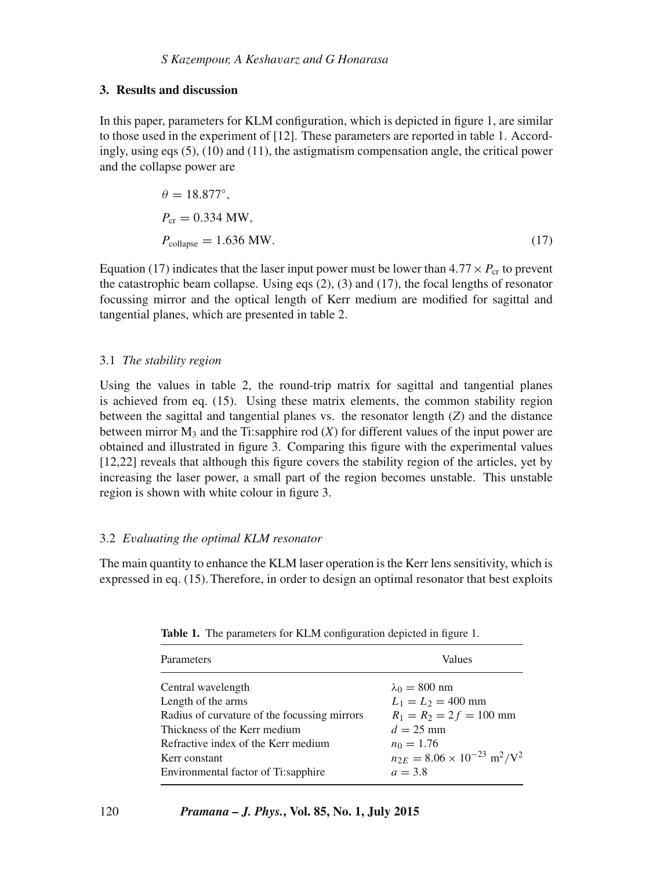# **3. Results and discussion**

In this paper, parameters for KLM configuration, which is depicted in figure 1, are similar to those used in the experiment of [12]. These parameters are reported in table 1. Accordingly, using eqs  $(5)$ ,  $(10)$  and  $(11)$ , the astigmatism compensation angle, the critical power and the collapse power are

$$
\theta = 18.877^{\circ},
$$
  
\n
$$
P_{\text{cr}} = 0.334 \text{ MW},
$$
  
\n
$$
P_{\text{collapse}} = 1.636 \text{ MW}.
$$
 (17)

Equation (17) indicates that the laser input power must be lower than  $4.77 \times P_{cr}$  to prevent the catastrophic beam collapse. Using eqs (2), (3) and (17), the focal lengths of resonator focussing mirror and the optical length of Kerr medium are modified for sagittal and tangential planes, which are presented in table 2.

# 3.1 *The stability region*

Using the values in table 2, the round-trip matrix for sagittal and tangential planes is achieved from eq. (15). Using these matrix elements, the common stability region between the sagittal and tangential planes vs. the resonator length (*Z*) and the distance between mirror  $M_3$  and the Ti:sapphire rod  $(X)$  for different values of the input power are obtained and illustrated in figure 3. Comparing this figure with the experimental values [12,22] reveals that although this figure covers the stability region of the articles, yet by increasing the laser power, a small part of the region becomes unstable. This unstable region is shown with white colour in figure 3.

# 3.2 *E*v*aluating the optimal KLM resonator*

The main quantity to enhance the KLM laser operation is the Kerr lens sensitivity, which is expressed in eq. (15). Therefore, in order to design an optimal resonator that best exploits

| Parameters                                   | Values                                                         |
|----------------------------------------------|----------------------------------------------------------------|
| Central wavelength                           | $\lambda_0 = 800$ nm                                           |
| Length of the arms                           | $L_1 = L_2 = 400$ mm                                           |
| Radius of curvature of the focussing mirrors | $R_1 = R_2 = 2 f = 100$ mm                                     |
| Thickness of the Kerr medium                 | $d = 25$ mm                                                    |
| Refractive index of the Kerr medium          | $n_0 = 1.76$                                                   |
| Kerr constant                                | $n_{2E} = 8.06 \times 10^{-23}$ m <sup>2</sup> /V <sup>2</sup> |
| Environmental factor of Ti:sapphire          | $a = 3.8$                                                      |

**Table 1.** The parameters for KLM configuration depicted in figure 1.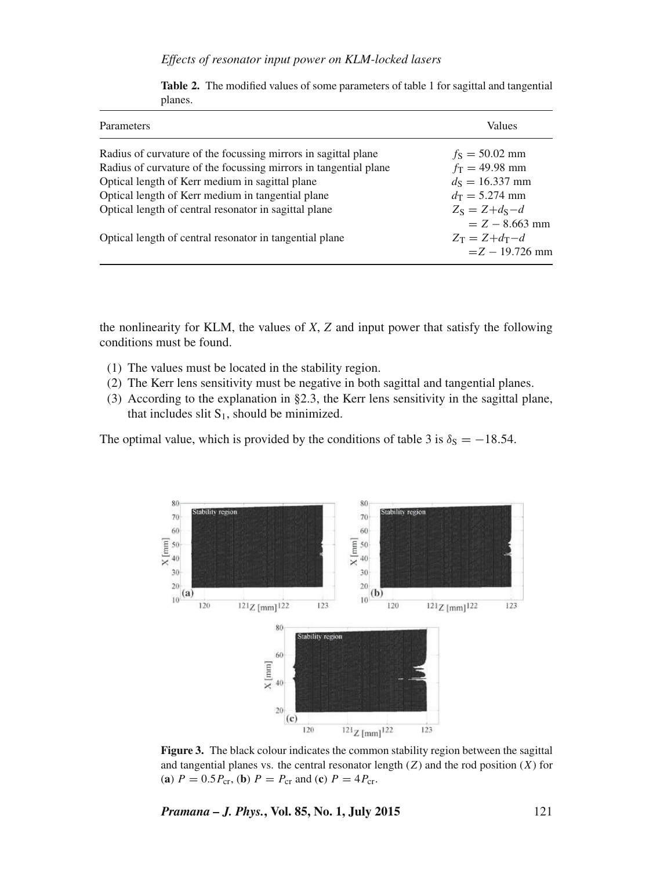|  |  | Effects of resonator input power on KLM-locked lasers |  |  |  |  |  |  |
|--|--|-------------------------------------------------------|--|--|--|--|--|--|
|--|--|-------------------------------------------------------|--|--|--|--|--|--|

| Parameters                                                       | Values                                                 |
|------------------------------------------------------------------|--------------------------------------------------------|
| Radius of curvature of the focussing mirrors in sagittal plane   | $f_{\rm S} = 50.02$ mm                                 |
| Radius of curvature of the focussing mirrors in tangential plane | $f_T = 49.98$ mm                                       |
| Optical length of Kerr medium in sagittal plane                  | $d_s = 16.337$ mm                                      |
| Optical length of Kerr medium in tangential plane                | $d_{\rm T} = 5.274$ mm                                 |
| Optical length of central resonator in sagittal plane            | $Z_s = Z + d_s - d$<br>$=$ Z $-$ 8.663 mm              |
| Optical length of central resonator in tangential plane          | $Z_{\rm T} = Z + d_{\rm T} - d$<br>$=$ Z $-$ 19.726 mm |

**Table 2.** The modified values of some parameters of table 1 for sagittal and tangential planes.

the nonlinearity for KLM, the values of *X*, *Z* and input power that satisfy the following conditions must be found.

- (1) The values must be located in the stability region.
- (2) The Kerr lens sensitivity must be negative in both sagittal and tangential planes.
- (3) According to the explanation in §2.3, the Kerr lens sensitivity in the sagittal plane, that includes slit  $S_1$ , should be minimized.

The optimal value, which is provided by the conditions of table 3 is  $\delta_S = -18.54$ .



**Figure 3.** The black colour indicates the common stability region between the sagittal and tangential planes vs. the central resonator length  $(Z)$  and the rod position  $(X)$  for (**a**)  $P = 0.5P_{cr}$ , (**b**)  $P = P_{cr}$  and (**c**)  $P = 4P_{cr}$ .

*Pramana – J. Phys.***, Vol. 85, No. 1, July 2015** 121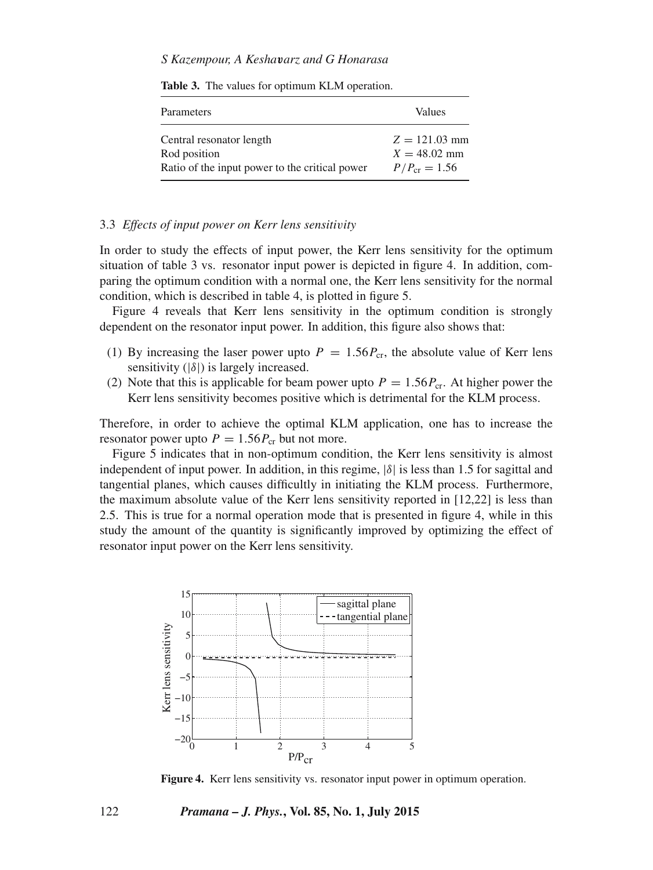# *S Kazempour, A Kesha*v*arz and G Honarasa*

| Parameters                                     | Values            |
|------------------------------------------------|-------------------|
| Central resonator length                       | $Z = 121.03$ mm   |
| Rod position                                   | $X = 48.02$ mm    |
| Ratio of the input power to the critical power | $P/P_{cr} = 1.56$ |

**Table 3.** The values for optimum KLM operation.

### 3.3 *Effects of input power on Kerr lens sensiti*v*ity*

In order to study the effects of input power, the Kerr lens sensitivity for the optimum situation of table 3 vs. resonator input power is depicted in figure 4. In addition, comparing the optimum condition with a normal one, the Kerr lens sensitivity for the normal condition, which is described in table 4, is plotted in figure 5.

Figure 4 reveals that Kerr lens sensitivity in the optimum condition is strongly dependent on the resonator input power. In addition, this figure also shows that:

- (1) By increasing the laser power upto  $P = 1.56 P_{cr}$ , the absolute value of Kerr lens sensitivity  $(|\delta|)$  is largely increased.
- (2) Note that this is applicable for beam power upto  $P = 1.56P_{cr}$ . At higher power the Kerr lens sensitivity becomes positive which is detrimental for the KLM process.

Therefore, in order to achieve the optimal KLM application, one has to increase the resonator power upto  $P = 1.56 P_{cr}$  but not more.

Figure 5 indicates that in non-optimum condition, the Kerr lens sensitivity is almost independent of input power. In addition, in this regime,  $|\delta|$  is less than 1.5 for sagittal and tangential planes, which causes difficultly in initiating the KLM process. Furthermore, the maximum absolute value of the Kerr lens sensitivity reported in [12,22] is less than 2.5. This is true for a normal operation mode that is presented in figure 4, while in this study the amount of the quantity is significantly improved by optimizing the effect of resonator input power on the Kerr lens sensitivity.



**Figure 4.** Kerr lens sensitivity vs. resonator input power in optimum operation.

122 *Pramana – J. Phys.***, Vol. 85, No. 1, July 2015**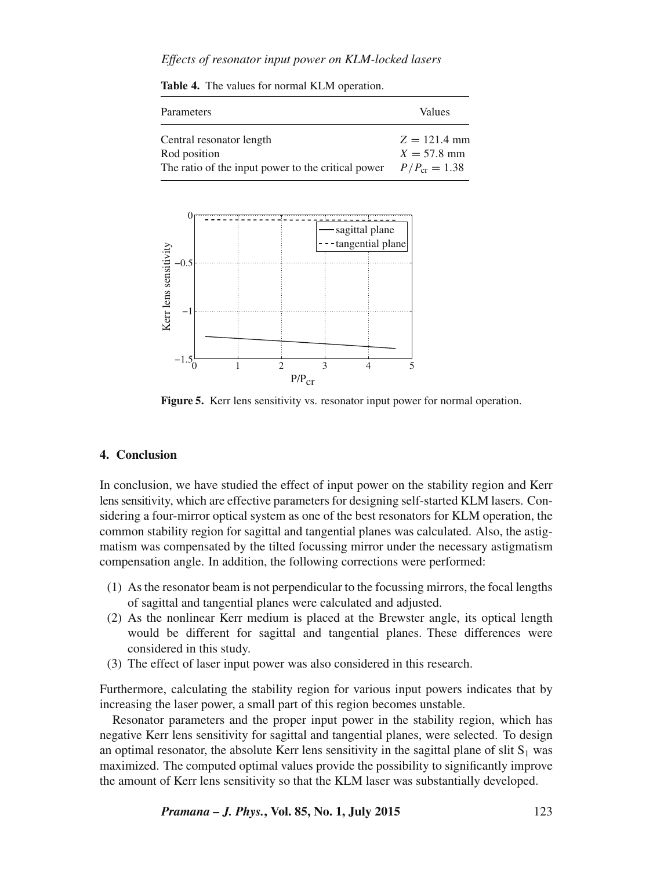# *Effects of resonator input power on KLM-locked lasers*

**Table 4.** The values for normal KLM operation.

Parameters Values Central resonator length  $Z = 121.4$  mm Rod position  $X = 57.8$  mm The ratio of the input power to the critical power  $P / P_{cr} = 1.38$ 





**Figure 5.** Kerr lens sensitivity vs. resonator input power for normal operation.

# **4. Conclusion**

In conclusion, we have studied the effect of input power on the stability region and Kerr lens sensitivity, which are effective parameters for designing self-started KLM lasers. Considering a four-mirror optical system as one of the best resonators for KLM operation, the common stability region for sagittal and tangential planes was calculated. Also, the astigmatism was compensated by the tilted focussing mirror under the necessary astigmatism compensation angle. In addition, the following corrections were performed:

- (1) As the resonator beam is not perpendicular to the focussing mirrors, the focal lengths of sagittal and tangential planes were calculated and adjusted.
- (2) As the nonlinear Kerr medium is placed at the Brewster angle, its optical length would be different for sagittal and tangential planes. These differences were considered in this study.
- (3) The effect of laser input power was also considered in this research.

Furthermore, calculating the stability region for various input powers indicates that by increasing the laser power, a small part of this region becomes unstable.

Resonator parameters and the proper input power in the stability region, which has negative Kerr lens sensitivity for sagittal and tangential planes, were selected. To design an optimal resonator, the absolute Kerr lens sensitivity in the sagittal plane of slit  $S_1$  was maximized. The computed optimal values provide the possibility to significantly improve the amount of Kerr lens sensitivity so that the KLM laser was substantially developed.